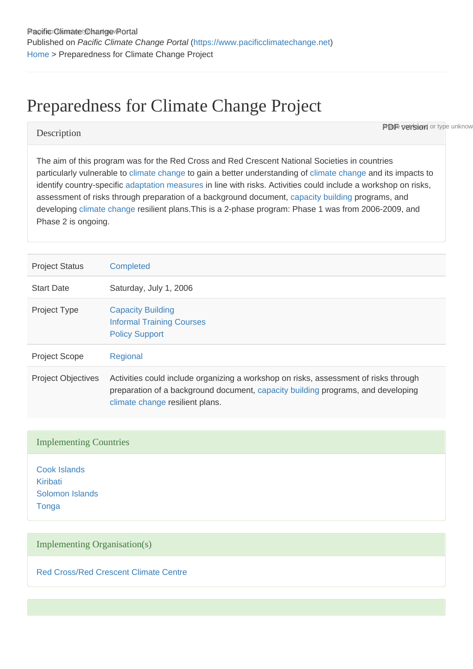# Preparedness for Climate Change Project

#### **Description**

The aim of this program was for the Red Cross and Red Crescent National Societies in countries particularly vulnerable to [climate change](https://www.pacificclimatechange.net/glossary/letter_c#Climate_Change) to gain a better understanding of [climate change](https://www.pacificclimatechange.net/glossary/letter_c#Climate_Change) and its impacts to identify country-specific [adaptation](https://www.pacificclimatechange.net/glossary/letter_a#Adaptation) [measures](https://www.pacificclimatechange.net/glossary/letter_m#Measures) in line with risks. Activities could include a workshop on risks, assessment of risks through preparation of a background document, [capacity building](https://www.pacificclimatechange.net/glossary/letter_c#Capacity_building) programs, and developing [climate change](https://www.pacificclimatechange.net/glossary/letter_c#Climate_Change) resilient plans.This is a 2-phase program: Phase 1 was from 2006-2009, and Phase 2 is ongoing.

**PDF version** or type unknow

| <b>Project Status</b>     | Completed                                                                                                                                                                                                   |
|---------------------------|-------------------------------------------------------------------------------------------------------------------------------------------------------------------------------------------------------------|
| <b>Start Date</b>         | Saturday, July 1, 2006                                                                                                                                                                                      |
| <b>Project Type</b>       | <b>Capacity Building</b><br><b>Informal Training Courses</b><br><b>Policy Support</b>                                                                                                                       |
| <b>Project Scope</b>      | Regional                                                                                                                                                                                                    |
| <b>Project Objectives</b> | Activities could include organizing a workshop on risks, assessment of risks through<br>preparation of a background document, capacity building programs, and developing<br>climate change resilient plans. |

#### Implementing Countries

[Cook Islands](https://www.pacificclimatechange.net/node/9481) [Kiribati](https://www.pacificclimatechange.net/node/52) [Solomon Islands](https://www.pacificclimatechange.net/node/59) **[Tonga](https://www.pacificclimatechange.net/node/61)** 

### Implementing Organisation(s)

[Red Cross/Red Crescent Climate Centre](https://www.pacificclimatechange.net/node/9754)